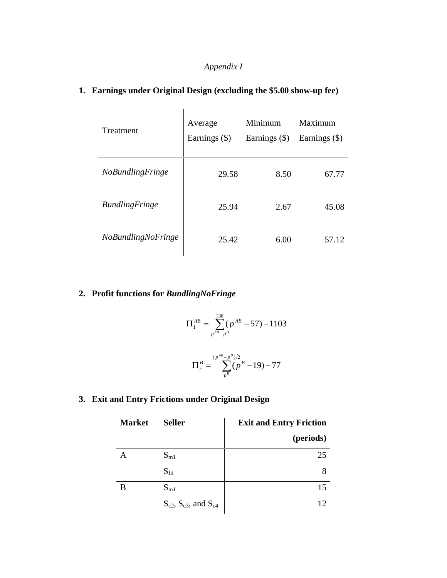### *Appendix I*

| <b>Treatment</b>        | Average<br>Earnings (\$) | Minimum<br>Earnings $(\$)$ | Maximum<br>Earnings (\$) |
|-------------------------|--------------------------|----------------------------|--------------------------|
| <b>NoBundlingFringe</b> | 29.58                    | 8.50                       | 67.77                    |
| <b>BundlingFringe</b>   | 25.94                    | 2.67                       | 45.08                    |
| NoBundlingNoFringe      | 25.42                    | 6.00                       | 57.12                    |

## **1. Earnings under Original Design (excluding the \$5.00 show-up fee)**

### **2. Profit functions for** *BundlingNoFringe*

$$
\Pi_1^{AB} = \sum_{p^{AB}-p^B}^{138} (p^{AB} - 57) - 1103
$$

$$
\Pi_c^B = \sum_{p^B}^{(p^{AB}-p^B)/2} (p^B - 19) - 77
$$

### **3. Exit and Entry Frictions under Original Design**

| <b>Market</b> | <b>Seller</b>                      | <b>Exit and Entry Friction</b> |
|---------------|------------------------------------|--------------------------------|
|               |                                    | (periods)                      |
|               | $S_{m1}$                           | 25                             |
|               | $S_{f5}$                           | 8                              |
| B             | $S_{m1}$                           | 15                             |
|               | $S_{c2}$ , $S_{c3}$ , and $S_{c4}$ | 12                             |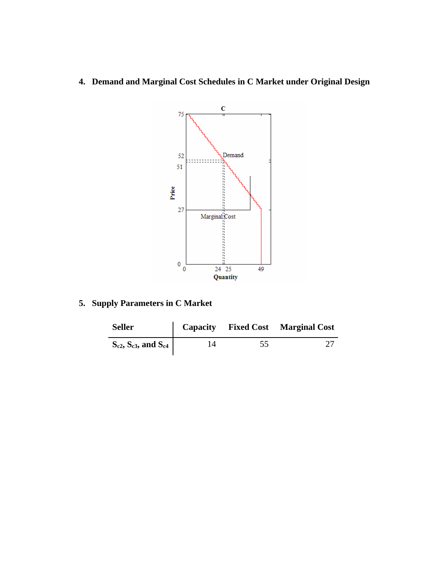**4. Demand and Marginal Cost Schedules in C Market under Original Design** 



**5. Supply Parameters in C Market** 

| <b>Seller</b>                      |    |    | Capacity Fixed Cost Marginal Cost |
|------------------------------------|----|----|-----------------------------------|
| $S_{c2}$ , $S_{c3}$ , and $S_{c4}$ | 14 | 55 |                                   |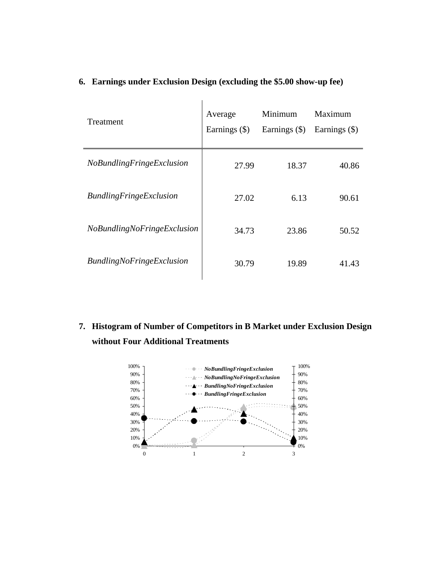| Treatment                        | Average<br>Earnings (\$) | Minimum<br>Earnings $(\$)$ | Maximum<br>Earnings $(\$)$ |
|----------------------------------|--------------------------|----------------------------|----------------------------|
| NoBundlingFringeExclusion        | 27.99                    | 18.37                      | 40.86                      |
| <b>BundlingFringeExclusion</b>   | 27.02                    | 6.13                       | 90.61                      |
| NoBundlingNoFringeExclusion      | 34.73                    | 23.86                      | 50.52                      |
| <b>BundlingNoFringeExclusion</b> | 30.79                    | 19.89                      | 41.43                      |

#### **6. Earnings under Exclusion Design (excluding the \$5.00 show-up fee)**

**7. Histogram of Number of Competitors in B Market under Exclusion Design without Four Additional Treatments** 

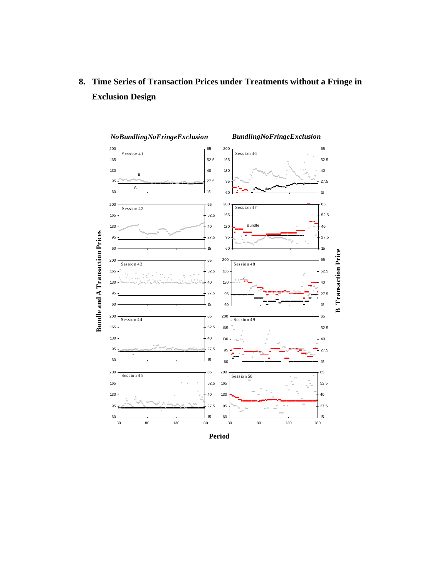

**8. Time Series of Transaction Prices under Treatments without a Fringe in Exclusion Design** 

**Period**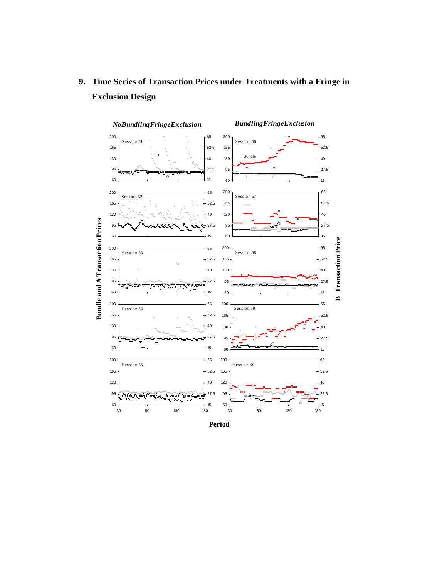

# **9. Time Series of Transaction Prices under Treatments with a Fringe in Exclusion Design**

**Period**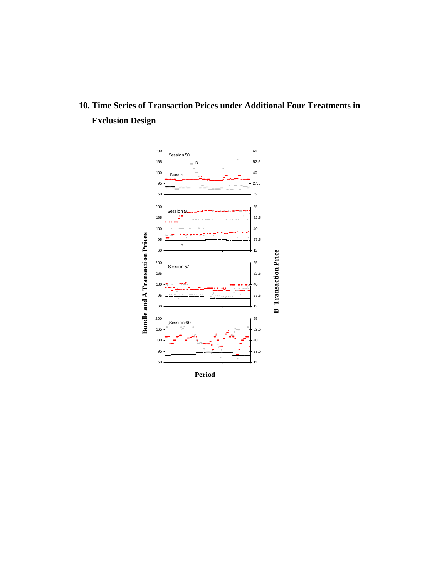# **10. Time Series of Transaction Prices under Additional Four Treatments in Exclusion Design**



**Period**